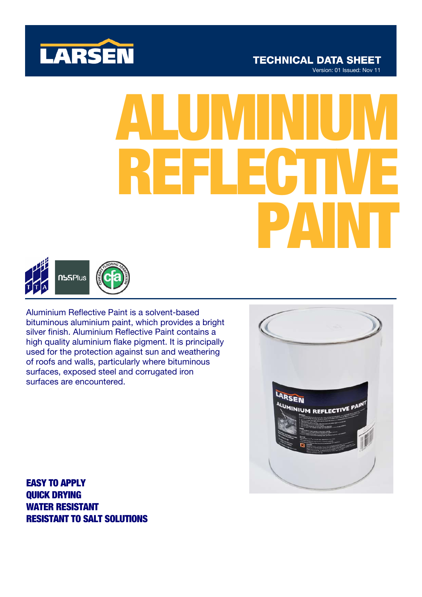

# ALUMINIUM REFLECTIVE PAINT



Aluminium Reflective Paint is a solvent-based bituminous aluminium paint, which provides a bright silver finish. Aluminium Reflective Paint contains a high quality aluminium flake pigment. It is principally used for the protection against sun and weathering of roofs and walls, particularly where bituminous surfaces, exposed steel and corrugated iron surfaces are encountered.



EASY TO APPLY QUICK DRYING WATER RESISTANT RESISTANT TO SALT SOLUTIONS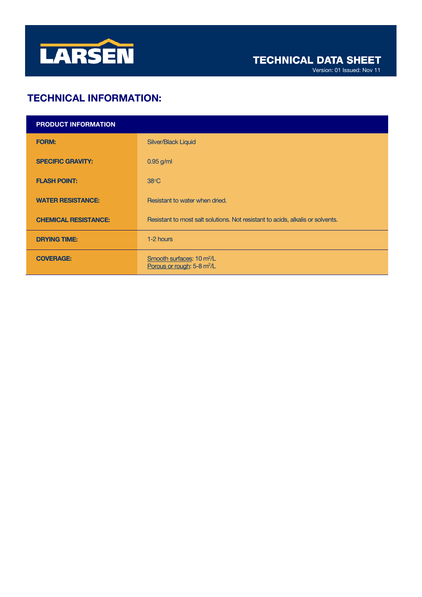

Version: 01 Issued: Nov 11

# TECHNICAL INFORMATION:

| <b>PRODUCT INFORMATION</b>  |                                                                                 |
|-----------------------------|---------------------------------------------------------------------------------|
| <b>FORM:</b>                | <b>Silver/Black Liquid</b>                                                      |
| <b>SPECIFIC GRAVITY:</b>    | $0.95$ g/ml                                                                     |
| <b>FLASH POINT:</b>         | $38^{\circ}$ C                                                                  |
| <b>WATER RESISTANCE:</b>    | Resistant to water when dried.                                                  |
| <b>CHEMICAL RESISTANCE:</b> | Resistant to most salt solutions. Not resistant to acids, alkalis or solvents.  |
| <b>DRYING TIME:</b>         | 1-2 hours                                                                       |
| <b>COVERAGE:</b>            | Smooth surfaces: 10 m <sup>2</sup> /L<br>Porous or rough: 5-8 m <sup>2</sup> /L |